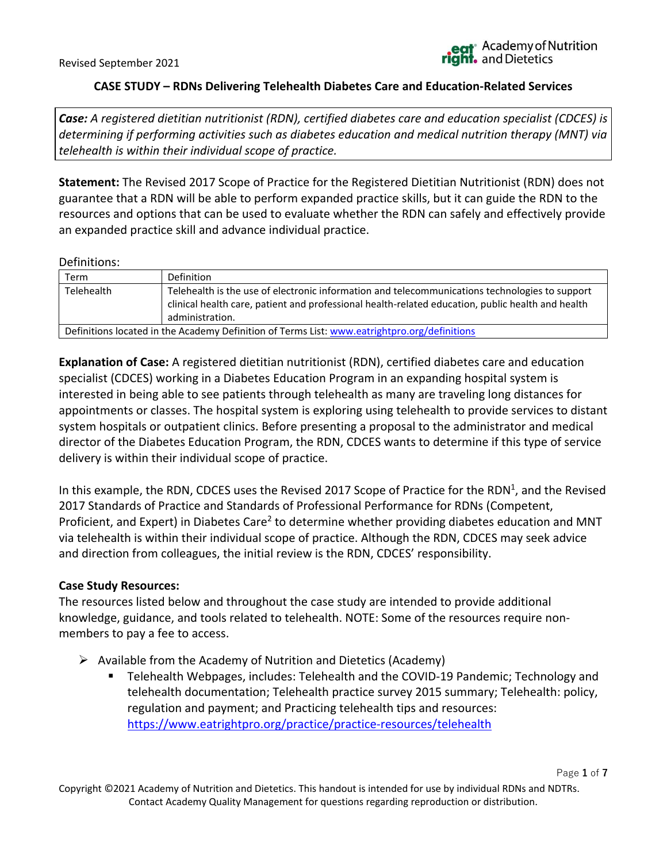Page **1** of **7**

# **CASE STUDY – RDNs Delivering Telehealth Diabetes Care and Education-Related Services**

*Case: A registered dietitian nutritionist (RDN), certified diabetes care and education specialist (CDCES) is determining if performing activities such as diabetes education and medical nutrition therapy (MNT) via telehealth is within their individual scope of practice.* 

**Statement:** The Revised 2017 Scope of Practice for the Registered Dietitian Nutritionist (RDN) does not guarantee that a RDN will be able to perform expanded practice skills, but it can guide the RDN to the resources and options that can be used to evaluate whether the RDN can safely and effectively provide an expanded practice skill and advance individual practice.

#### Definitions:

| Term       | Definition                                                                                                                                                                                                             |
|------------|------------------------------------------------------------------------------------------------------------------------------------------------------------------------------------------------------------------------|
| Telehealth | Telehealth is the use of electronic information and telecommunications technologies to support<br>clinical health care, patient and professional health-related education, public health and health<br>administration. |
|            | Definitions located in the Academy Definition of Terms List: www.eatrightpro.org/definitions                                                                                                                           |

**Explanation of Case:** A registered dietitian nutritionist (RDN), certified diabetes care and education specialist (CDCES) working in a Diabetes Education Program in an expanding hospital system is interested in being able to see patients through telehealth as many are traveling long distances for appointments or classes. The hospital system is exploring using telehealth to provide services to distant system hospitals or outpatient clinics. Before presenting a proposal to the administrator and medical director of the Diabetes Education Program, the RDN, CDCES wants to determine if this type of service delivery is within their individual scope of practice.

In this example, the RDN, CDCES uses the Revised 2017 Scope of Practice for the RDN<sup>1</sup>, and the Revised 2017 Standards of Practice and Standards of Professional Performance for RDNs (Competent, Proficient, and Expert) in Diabetes Care<sup>2</sup> to determine whether providing diabetes education and MNT via telehealth is within their individual scope of practice. Although the RDN, CDCES may seek advice and direction from colleagues, the initial review is the RDN, CDCES' responsibility.

# **Case Study Resources:**

The resources listed below and throughout the case study are intended to provide additional knowledge, guidance, and tools related to telehealth. NOTE: Some of the resources require nonmembers to pay a fee to access.

- $\triangleright$  Available from the Academy of Nutrition and Dietetics (Academy)
	- Telehealth Webpages, includes: Telehealth and the COVID-19 Pandemic; Technology and telehealth documentation; Telehealth practice survey 2015 summary; Telehealth: policy, regulation and payment; and Practicing telehealth tips and resources: <https://www.eatrightpro.org/practice/practice-resources/telehealth>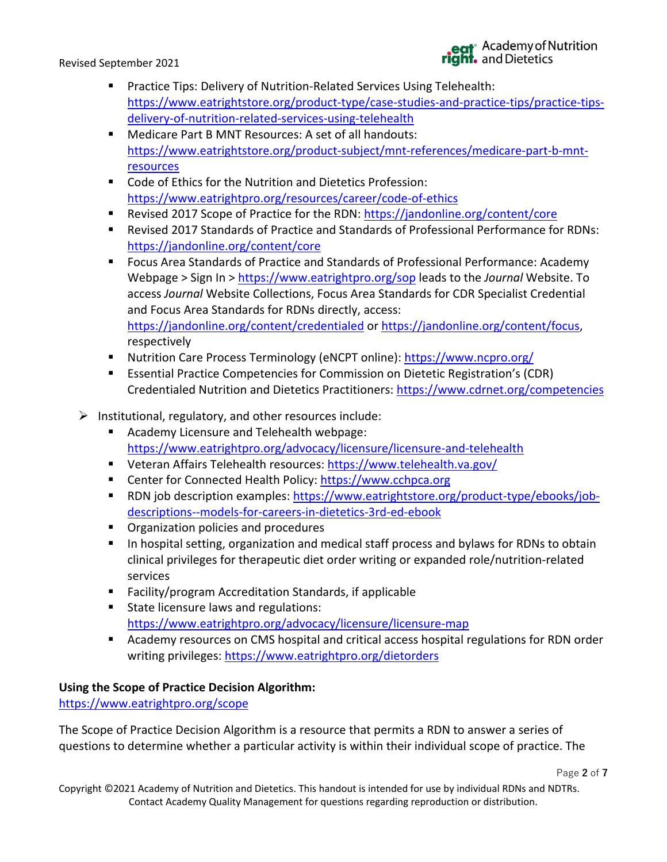# eat<sup>\*</sup> Academy of Nutrition<br>ght. and Dietetics

- Practice Tips: Delivery of Nutrition-Related Services Using Telehealth: [https://www.eatrightstore.org/product-type/case-studies-and-practice-tips/practice-tips](https://www.eatrightstore.org/product-type/case-studies-and-practice-tips/practice-tips-delivery-of-nutrition-related-services-using-telehealth)[delivery-of-nutrition-related-services-using-telehealth](https://www.eatrightstore.org/product-type/case-studies-and-practice-tips/practice-tips-delivery-of-nutrition-related-services-using-telehealth)
- Medicare Part B MNT Resources: A set of all handouts: [https://www.eatrightstore.org/product-subject/mnt-references/medicare-part-b-mnt](https://www.eatrightstore.org/product-subject/mnt-references/medicare-part-b-mnt-resources)[resources](https://www.eatrightstore.org/product-subject/mnt-references/medicare-part-b-mnt-resources)
- Code of Ethics for the Nutrition and Dietetics Profession: <https://www.eatrightpro.org/resources/career/code-of-ethics>
- Revised 2017 Scope of Practice for the RDN:<https://jandonline.org/content/core>
- Revised 2017 Standards of Practice and Standards of Professional Performance for RDNs: <https://jandonline.org/content/core>
- Focus Area Standards of Practice and Standards of Professional Performance: Academy Webpage > Sign In ><https://www.eatrightpro.org/sop> leads to the *Journal* Website. To access *Journal* Website Collections, Focus Area Standards for CDR Specialist Credential and Focus Area Standards for RDNs directly, access: <https://jandonline.org/content/credentialed> or [https://jandonline.org/content/focus,](https://jandonline.org/content/focus) respectively
- Nutrition Care Process Terminology (eNCPT online):<https://www.ncpro.org/>
- Essential Practice Competencies for Commission on Dietetic Registration's (CDR) Credentialed Nutrition and Dietetics Practitioners:<https://www.cdrnet.org/competencies>
- $\triangleright$  Institutional, regulatory, and other resources include:
	- Academy Licensure and Telehealth webpage: <https://www.eatrightpro.org/advocacy/licensure/licensure-and-telehealth>
	- Veteran Affairs Telehealth resources:<https://www.telehealth.va.gov/>
	- Center for Connected Health Policy: [https://www.cchpca.org](https://www.cchpca.org/)
	- RDN job description examples: [https://www.eatrightstore.org/product-type/ebooks/job](https://www.eatrightstore.org/product-type/ebooks/job-descriptions--models-for-careers-in-dietetics-3rd-ed-ebook)[descriptions--models-for-careers-in-dietetics-3rd-ed-ebook](https://www.eatrightstore.org/product-type/ebooks/job-descriptions--models-for-careers-in-dietetics-3rd-ed-ebook)
	- Organization policies and procedures
	- In hospital setting, organization and medical staff process and bylaws for RDNs to obtain clinical privileges for therapeutic diet order writing or expanded role/nutrition-related services
	- Facility/program Accreditation Standards, if applicable
	- State licensure laws and regulations: https://www.eatrightpro.org/advocacy/licensure/licensure-map
	- Academy resources on CMS hospital and critical access hospital regulations for RDN order writing privileges:<https://www.eatrightpro.org/dietorders>

# **Using the Scope of Practice Decision Algorithm:**

<https://www.eatrightpro.org/scope>

The Scope of Practice Decision Algorithm is a resource that permits a RDN to answer a series of questions to determine whether a particular activity is within their individual scope of practice. The

Copyright ©2021 Academy of Nutrition and Dietetics. This handout is intended for use by individual RDNs and NDTRs. Contact Academy Quality Management for questions regarding reproduction or distribution.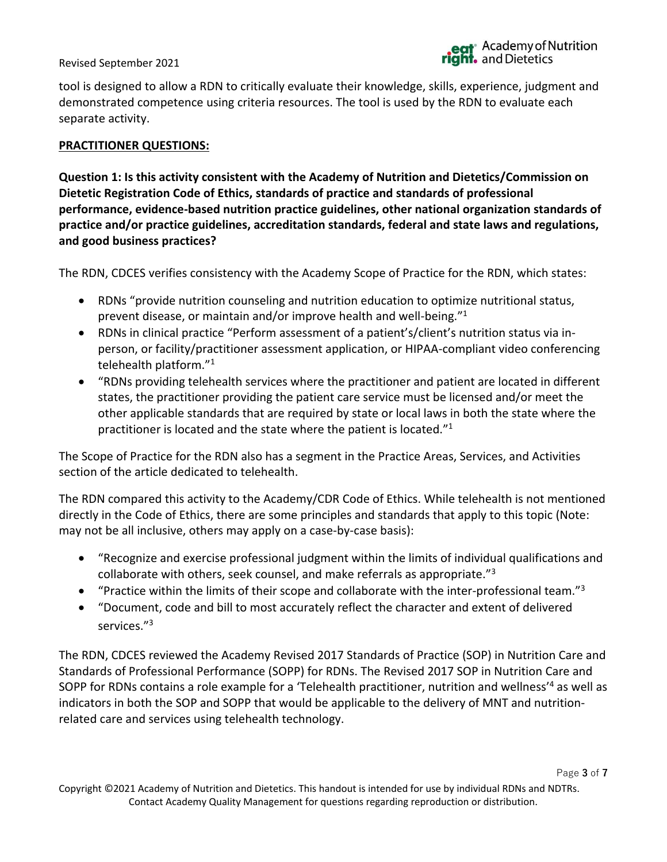Page **3** of **7**

#### Revised September 2021

tool is designed to allow a RDN to critically evaluate their knowledge, skills, experience, judgment and demonstrated competence using criteria resources. The tool is used by the RDN to evaluate each separate activity.

#### **PRACTITIONER QUESTIONS:**

**Question 1: Is this activity consistent with the Academy of Nutrition and Dietetics/Commission on Dietetic Registration Code of Ethics, standards of practice and standards of professional performance, evidence-based nutrition practice guidelines, other national organization standards of practice and/or practice guidelines, accreditation standards, federal and state laws and regulations, and good business practices?**

The RDN, CDCES verifies consistency with the Academy Scope of Practice for the RDN, which states:

- RDNs "provide nutrition counseling and nutrition education to optimize nutritional status, prevent disease, or maintain and/or improve health and well-being." 1
- RDNs in clinical practice "Perform assessment of a patient's/client's nutrition status via inperson, or facility/practitioner assessment application, or HIPAA-compliant video conferencing telehealth platform."<sup>1</sup>
- "RDNs providing telehealth services where the practitioner and patient are located in different states, the practitioner providing the patient care service must be licensed and/or meet the other applicable standards that are required by state or local laws in both the state where the practitioner is located and the state where the patient is located."<sup>1</sup>

The Scope of Practice for the RDN also has a segment in the Practice Areas, Services, and Activities section of the article dedicated to telehealth.

The RDN compared this activity to the Academy/CDR Code of Ethics. While telehealth is not mentioned directly in the Code of Ethics, there are some principles and standards that apply to this topic (Note: may not be all inclusive, others may apply on a case-by-case basis):

- "Recognize and exercise professional judgment within the limits of individual qualifications and collaborate with others, seek counsel, and make referrals as appropriate."<sup>3</sup>
- "Practice within the limits of their scope and collaborate with the inter-professional team."<sup>3</sup>
- "Document, code and bill to most accurately reflect the character and extent of delivered services."<sup>3</sup>

The RDN, CDCES reviewed the Academy Revised 2017 Standards of Practice (SOP) in Nutrition Care and Standards of Professional Performance (SOPP) for RDNs. The Revised 2017 SOP in Nutrition Care and SOPP for RDNs contains a role example for a 'Telehealth practitioner, nutrition and wellness'<sup>4</sup> as well as indicators in both the SOP and SOPP that would be applicable to the delivery of MNT and nutritionrelated care and services using telehealth technology.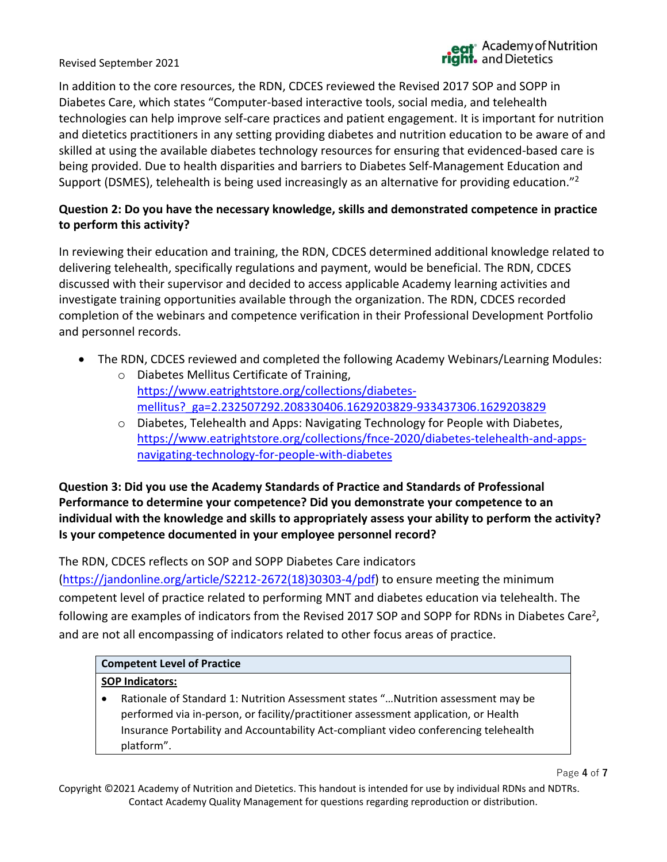In addition to the core resources, the RDN, CDCES reviewed the Revised 2017 SOP and SOPP in Diabetes Care, which states "Computer-based interactive tools, social media, and telehealth technologies can help improve self-care practices and patient engagement. It is important for nutrition and dietetics practitioners in any setting providing diabetes and nutrition education to be aware of and skilled at using the available diabetes technology resources for ensuring that evidenced-based care is being provided. Due to health disparities and barriers to Diabetes Self-Management Education and Support (DSMES), telehealth is being used increasingly as an alternative for providing education."<sup>2</sup>

# **Question 2: Do you have the necessary knowledge, skills and demonstrated competence in practice to perform this activity?**

In reviewing their education and training, the RDN, CDCES determined additional knowledge related to delivering telehealth, specifically regulations and payment, would be beneficial. The RDN, CDCES discussed with their supervisor and decided to access applicable Academy learning activities and investigate training opportunities available through the organization. The RDN, CDCES recorded completion of the webinars and competence verification in their Professional Development Portfolio and personnel records.

- The RDN, CDCES reviewed and completed the following Academy Webinars/Learning Modules:
	- o Diabetes Mellitus Certificate of Training, [https://www.eatrightstore.org/collections/diabetes](https://www.eatrightstore.org/collections/diabetes-mellitus?_ga=2.232507292.208330406.1629203829-933437306.1629203829)[mellitus?\\_ga=2.232507292.208330406.1629203829-933437306.1629203829](https://www.eatrightstore.org/collections/diabetes-mellitus?_ga=2.232507292.208330406.1629203829-933437306.1629203829)
	- o Diabetes, Telehealth and Apps: Navigating Technology for People with Diabetes, [https://www.eatrightstore.org/collections/fnce-2020/diabetes-telehealth-and-apps](https://www.eatrightstore.org/collections/fnce-2020/diabetes-telehealth-and-apps-navigating-technology-for-people-with-diabetes)[navigating-technology-for-people-with-diabetes](https://www.eatrightstore.org/collections/fnce-2020/diabetes-telehealth-and-apps-navigating-technology-for-people-with-diabetes)

# **Question 3: Did you use the Academy Standards of Practice and Standards of Professional Performance to determine your competence? Did you demonstrate your competence to an individual with the knowledge and skills to appropriately assess your ability to perform the activity? Is your competence documented in your employee personnel record?**

The RDN, CDCES reflects on SOP and SOPP Diabetes Care indicators

[\(https://jandonline.org/article/S2212-2672\(18\)30303-4/pdf\)](https://jandonline.org/article/S2212-2672(18)30303-4/pdf) to ensure meeting the minimum competent level of practice related to performing MNT and diabetes education via telehealth. The following are examples of indicators from the Revised 2017 SOP and SOPP for RDNs in Diabetes Care<sup>2</sup>, and are not all encompassing of indicators related to other focus areas of practice.

# **Competent Level of Practice**

# **SOP Indicators:**

• Rationale of Standard 1: Nutrition Assessment states "…Nutrition assessment may be performed via in-person, or facility/practitioner assessment application, or Health Insurance Portability and Accountability Act-compliant video conferencing telehealth platform".

Page **4** of **7**

Copyright ©2021 Academy of Nutrition and Dietetics. This handout is intended for use by individual RDNs and NDTRs. Contact Academy Quality Management for questions regarding reproduction or distribution.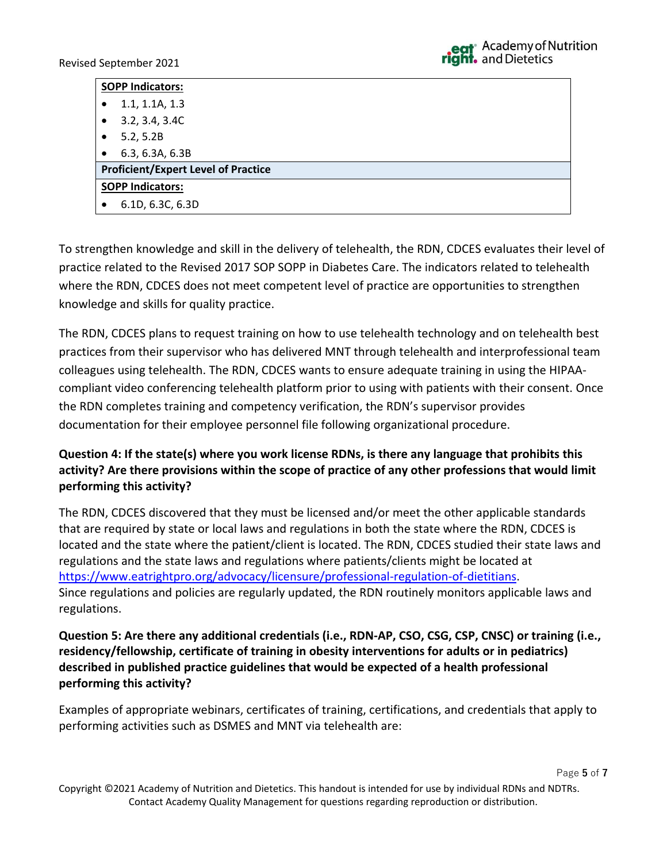Page **5** of **7**

| <b>SOPP Indicators:</b>                    |                 |  |
|--------------------------------------------|-----------------|--|
| $\bullet$                                  | 1.1, 1.1A, 1.3  |  |
| $\bullet$                                  | 3.2, 3.4, 3.4C  |  |
| $\bullet$                                  | 5.2, 5.2B       |  |
|                                            | 6.3, 6.3A, 6.3B |  |
| <b>Proficient/Expert Level of Practice</b> |                 |  |
| <b>SOPP Indicators:</b>                    |                 |  |
| 6.1D, 6.3C, 6.3D<br>$\bullet$              |                 |  |

To strengthen knowledge and skill in the delivery of telehealth, the RDN, CDCES evaluates their level of practice related to the Revised 2017 SOP SOPP in Diabetes Care. The indicators related to telehealth where the RDN, CDCES does not meet competent level of practice are opportunities to strengthen knowledge and skills for quality practice.

The RDN, CDCES plans to request training on how to use telehealth technology and on telehealth best practices from their supervisor who has delivered MNT through telehealth and interprofessional team colleagues using telehealth. The RDN, CDCES wants to ensure adequate training in using the HIPAAcompliant video conferencing telehealth platform prior to using with patients with their consent. Once the RDN completes training and competency verification, the RDN's supervisor provides documentation for their employee personnel file following organizational procedure.

# **Question 4: If the state(s) where you work license RDNs, is there any language that prohibits this activity? Are there provisions within the scope of practice of any other professions that would limit performing this activity?**

The RDN, CDCES discovered that they must be licensed and/or meet the other applicable standards that are required by state or local laws and regulations in both the state where the RDN, CDCES is located and the state where the patient/client is located. The RDN, CDCES studied their state laws and regulations and the state laws and regulations where patients/clients might be located at [https://www.eatrightpro.org/advocacy/licensure/professional-regulation-of-dietitians.](https://www.eatrightpro.org/advocacy/licensure/professional-regulation-of-dietitians) Since regulations and policies are regularly updated, the RDN routinely monitors applicable laws and regulations.

**Question 5: Are there any additional credentials (i.e., RDN-AP, CSO, CSG, CSP, CNSC) or training (i.e., residency/fellowship, certificate of training in obesity interventions for adults or in pediatrics) described in published practice guidelines that would be expected of a health professional performing this activity?**

Examples of appropriate webinars, certificates of training, certifications, and credentials that apply to performing activities such as DSMES and MNT via telehealth are: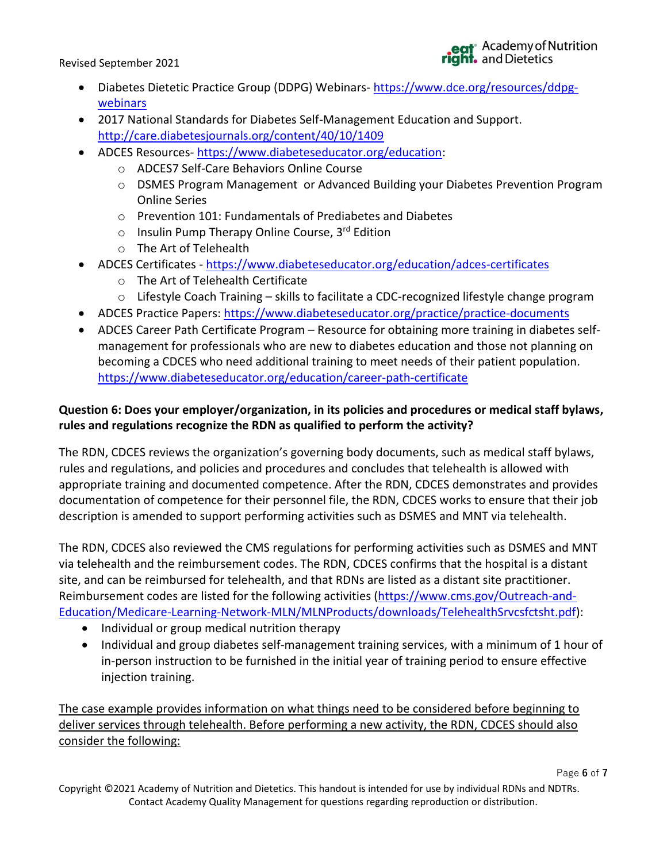Page **6** of **7**

- Diabetes Dietetic Practice Group (DDPG) Webinars- [https://www.dce.org/resources/ddpg](https://www.dce.org/resources/ddpg-webinars)[webinars](https://www.dce.org/resources/ddpg-webinars)
- 2017 National Standards for Diabetes Self-Management Education and Support. <http://care.diabetesjournals.org/content/40/10/1409>
- ADCES Resources- https://www.diabeteseducator.org/education:
	- o ADCES7 Self-Care Behaviors Online Course
	- o DSMES Program Management or Advanced Building your Diabetes Prevention Program Online Series
	- o Prevention 101: Fundamentals of Prediabetes and Diabetes
	- $\circ$  Insulin Pump Therapy Online Course, 3<sup>rd</sup> Edition
	- o The Art of Telehealth
- ADCES Certificates <https://www.diabeteseducator.org/education/adces-certificates>
	- o The Art of Telehealth Certificate
	- o Lifestyle Coach Training skills to facilitate a CDC-recognized lifestyle change program
- ADCES Practice Papers:<https://www.diabeteseducator.org/practice/practice-documents>
- ADCES Career Path Certificate Program Resource for obtaining more training in diabetes selfmanagement for professionals who are new to diabetes education and those not planning on becoming a CDCES who need additional training to meet needs of their patient population. <https://www.diabeteseducator.org/education/career-path-certificate>

# **Question 6: Does your employer/organization, in its policies and procedures or medical staff bylaws, rules and regulations recognize the RDN as qualified to perform the activity?**

The RDN, CDCES reviews the organization's governing body documents, such as medical staff bylaws, rules and regulations, and policies and procedures and concludes that telehealth is allowed with appropriate training and documented competence. After the RDN, CDCES demonstrates and provides documentation of competence for their personnel file, the RDN, CDCES works to ensure that their job description is amended to support performing activities such as DSMES and MNT via telehealth.

The RDN, CDCES also reviewed the CMS regulations for performing activities such as DSMES and MNT via telehealth and the reimbursement codes. The RDN, CDCES confirms that the hospital is a distant site, and can be reimbursed for telehealth, and that RDNs are listed as a distant site practitioner. Reimbursement codes are listed for the following activities [\(https://www.cms.gov/Outreach-and-](https://www.cms.gov/Outreach-and-Education/Medicare-Learning-Network-MLN/MLNProducts/downloads/TelehealthSrvcsfctsht.pdf)[Education/Medicare-Learning-Network-MLN/MLNProducts/downloads/TelehealthSrvcsfctsht.pdf\)](https://www.cms.gov/Outreach-and-Education/Medicare-Learning-Network-MLN/MLNProducts/downloads/TelehealthSrvcsfctsht.pdf):

- Individual or group medical nutrition therapy
- Individual and group diabetes self-management training services, with a minimum of 1 hour of in-person instruction to be furnished in the initial year of training period to ensure effective injection training.

The case example provides information on what things need to be considered before beginning to deliver services through telehealth. Before performing a new activity, the RDN, CDCES should also consider the following: